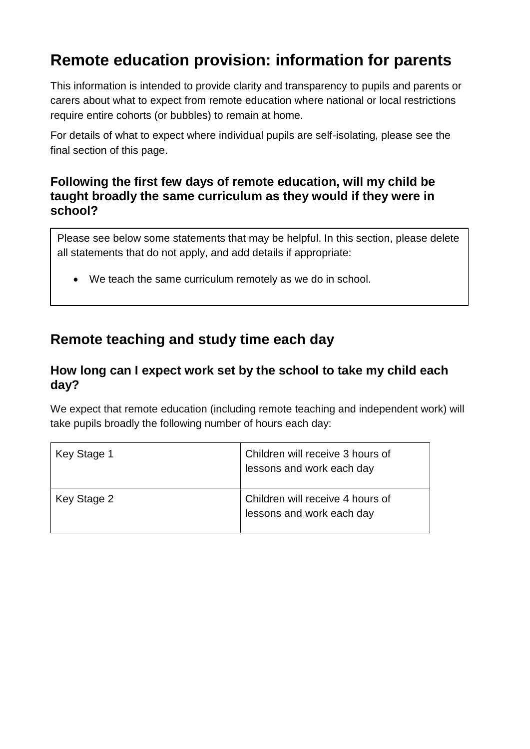# **Remote education provision: information for parents**

This information is intended to provide clarity and transparency to pupils and parents or carers about what to expect from remote education where national or local restrictions require entire cohorts (or bubbles) to remain at home.

For details of what to expect where individual pupils are self-isolating, please see the final section of this page.

### **Following the first few days of remote education, will my child be taught broadly the same curriculum as they would if they were in school?**

Please see below some statements that may be helpful. In this section, please delete all statements that do not apply, and add details if appropriate:

• We teach the same curriculum remotely as we do in school.

## **Remote teaching and study time each day**

### **How long can I expect work set by the school to take my child each day?**

We expect that remote education (including remote teaching and independent work) will take pupils broadly the following number of hours each day:

| Key Stage 1 | Children will receive 3 hours of<br>lessons and work each day |
|-------------|---------------------------------------------------------------|
| Key Stage 2 | Children will receive 4 hours of<br>lessons and work each day |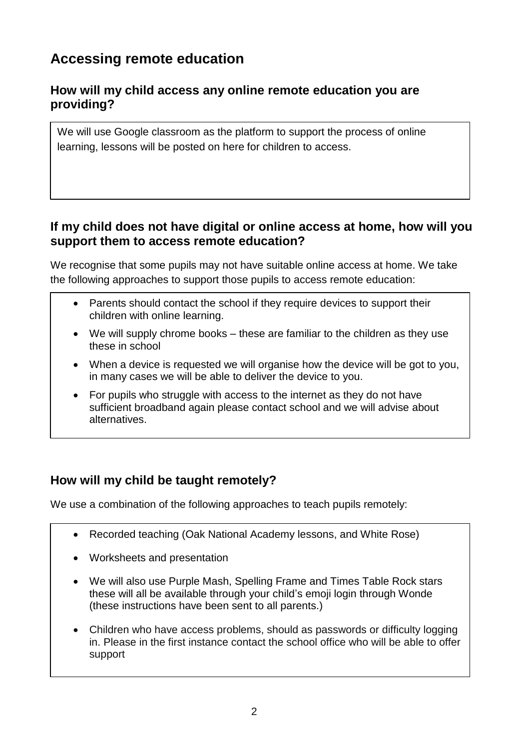## **Accessing remote education**

## **How will my child access any online remote education you are providing?**

We will use Google classroom as the platform to support the process of online learning, lessons will be posted on here for children to access.

## **If my child does not have digital or online access at home, how will you support them to access remote education?**

We recognise that some pupils may not have suitable online access at home. We take the following approaches to support those pupils to access remote education:

- Parents should contact the school if they require devices to support their children with online learning.
- We will supply chrome books these are familiar to the children as they use these in school
- When a device is requested we will organise how the device will be got to you, in many cases we will be able to deliver the device to you.
- For pupils who struggle with access to the internet as they do not have sufficient broadband again please contact school and we will advise about alternatives.

## **How will my child be taught remotely?**

We use a combination of the following approaches to teach pupils remotely:

- Recorded teaching (Oak National Academy lessons, and White Rose)
- Worksheets and presentation
- We will also use Purple Mash, Spelling Frame and Times Table Rock stars these will all be available through your child's emoji login through Wonde (these instructions have been sent to all parents.)
- Children who have access problems, should as passwords or difficulty logging in. Please in the first instance contact the school office who will be able to offer support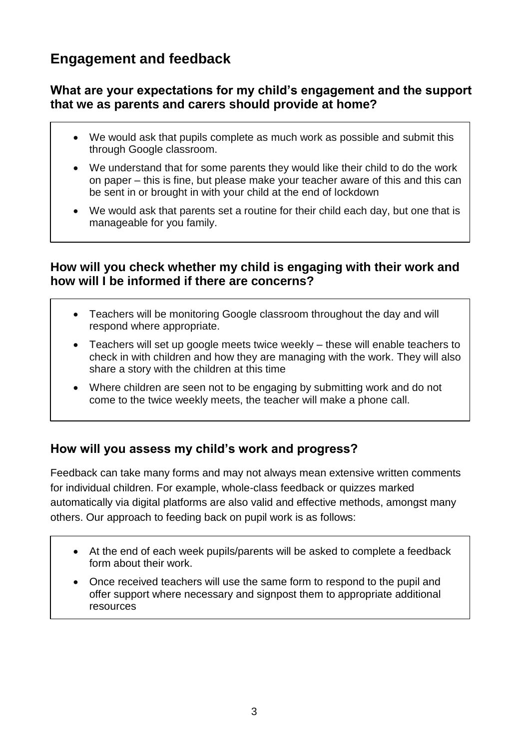## **Engagement and feedback**

## **What are your expectations for my child's engagement and the support that we as parents and carers should provide at home?**

- We would ask that pupils complete as much work as possible and submit this through Google classroom.
- We understand that for some parents they would like their child to do the work on paper – this is fine, but please make your teacher aware of this and this can be sent in or brought in with your child at the end of lockdown
- We would ask that parents set a routine for their child each day, but one that is manageable for you family.

#### **How will you check whether my child is engaging with their work and how will I be informed if there are concerns?**

- Teachers will be monitoring Google classroom throughout the day and will respond where appropriate.
- Teachers will set up google meets twice weekly these will enable teachers to check in with children and how they are managing with the work. They will also share a story with the children at this time
- Where children are seen not to be engaging by submitting work and do not come to the twice weekly meets, the teacher will make a phone call.

## **How will you assess my child's work and progress?**

Feedback can take many forms and may not always mean extensive written comments for individual children. For example, whole-class feedback or quizzes marked automatically via digital platforms are also valid and effective methods, amongst many others. Our approach to feeding back on pupil work is as follows:

- At the end of each week pupils/parents will be asked to complete a feedback form about their work.
- Once received teachers will use the same form to respond to the pupil and offer support where necessary and signpost them to appropriate additional resources